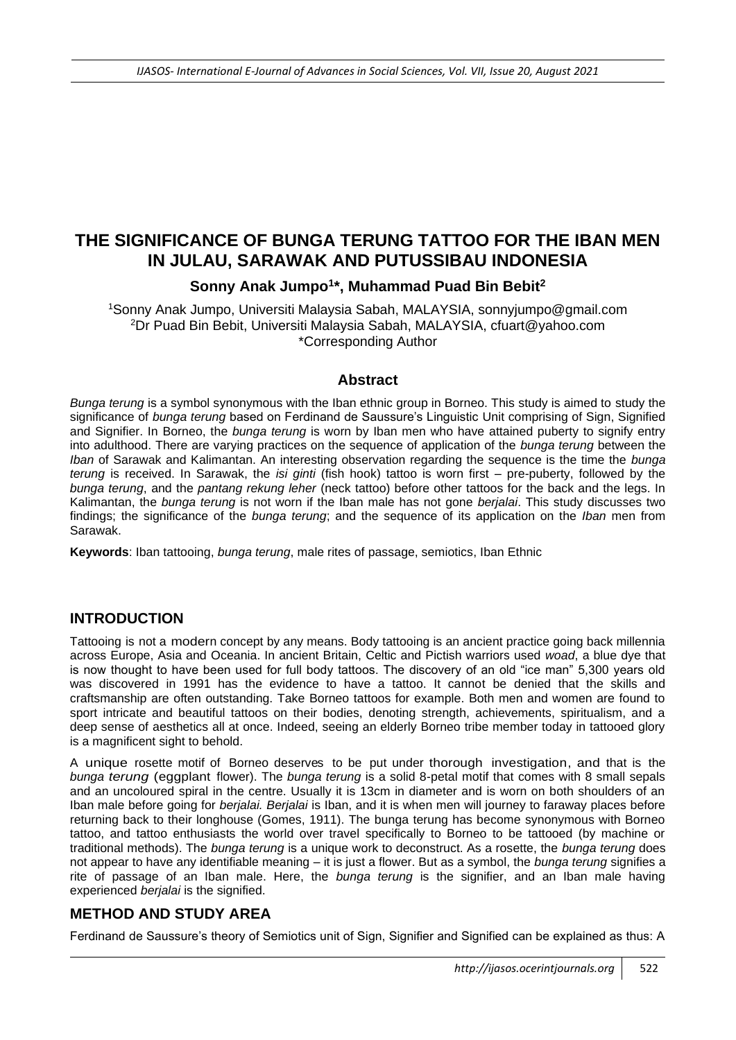# **THE SIGNIFICANCE OF BUNGA TERUNG TATTOO FOR THE IBAN MEN IN JULAU, SARAWAK AND PUTUSSIBAU INDONESIA**

## **Sonny Anak Jumpo<sup>1</sup> \*, Muhammad Puad Bin Bebit<sup>2</sup>**

<sup>1</sup>Sonny Anak Jumpo, Universiti Malaysia Sabah, MALAYSIA, sonnyjumpo@gmail.com <sup>2</sup>Dr Puad Bin Bebit, Universiti Malaysia Sabah, MALAYSIA, cfuart@yahoo.com \*Corresponding Author

#### **Abstract**

*Bunga terung* is a symbol synonymous with the Iban ethnic group in Borneo. This study is aimed to study the significance of *bunga terung* based on Ferdinand de Saussure's Linguistic Unit comprising of Sign, Signified and Signifier. In Borneo, the *bunga terung* is worn by Iban men who have attained puberty to signify entry into adulthood. There are varying practices on the sequence of application of the *bunga terung* between the *Iban* of Sarawak and Kalimantan. An interesting observation regarding the sequence is the time the *bunga terung* is received. In Sarawak, the *isi ginti* (fish hook) tattoo is worn first – pre-puberty, followed by the *bunga terung*, and the *pantang rekung leher* (neck tattoo) before other tattoos for the back and the legs. In Kalimantan, the *bunga terung* is not worn if the Iban male has not gone *berjalai*. This study discusses two findings; the significance of the *bunga terung*; and the sequence of its application on the *Iban* men from Sarawak.

**Keywords**: Iban tattooing, *bunga terung*, male rites of passage, semiotics, Iban Ethnic

### **INTRODUCTION**

Tattooing is not a modern concept by any means. Body tattooing is an ancient practice going back millennia across Europe, Asia and Oceania. In ancient Britain, Celtic and Pictish warriors used *woad*, a blue dye that is now thought to have been used for full body tattoos. The discovery of an old "ice man" 5,300 years old was discovered in 1991 has the evidence to have a tattoo. It cannot be denied that the skills and craftsmanship are often outstanding. Take Borneo tattoos for example. Both men and women are found to sport intricate and beautiful tattoos on their bodies, denoting strength, achievements, spiritualism, and a deep sense of aesthetics all at once. Indeed, seeing an elderly Borneo tribe member today in tattooed glory is a magnificent sight to behold.

A unique rosette motif of Borneo deserves to be put under thorough investigation, and that is the *bunga terung* (eggplant flower). The *bunga terung* is a solid 8-petal motif that comes with 8 small sepals and an uncoloured spiral in the centre. Usually it is 13cm in diameter and is worn on both shoulders of an Iban male before going for *berjalai. Berjalai* is Iban, and it is when men will journey to faraway places before returning back to their longhouse (Gomes, 1911). The bunga terung has become synonymous with Borneo tattoo, and tattoo enthusiasts the world over travel specifically to Borneo to be tattooed (by machine or traditional methods). The *bunga terung* is a unique work to deconstruct. As a rosette, the *bunga terung* does not appear to have any identifiable meaning – it is just a flower. But as a symbol, the *bunga terung* signifies a rite of passage of an Iban male. Here, the *bunga terung* is the signifier, and an Iban male having experienced *berjalai* is the signified.

### **METHOD AND STUDY AREA**

Ferdinand de Saussure's theory of Semiotics unit of Sign, Signifier and Signified can be explained as thus: A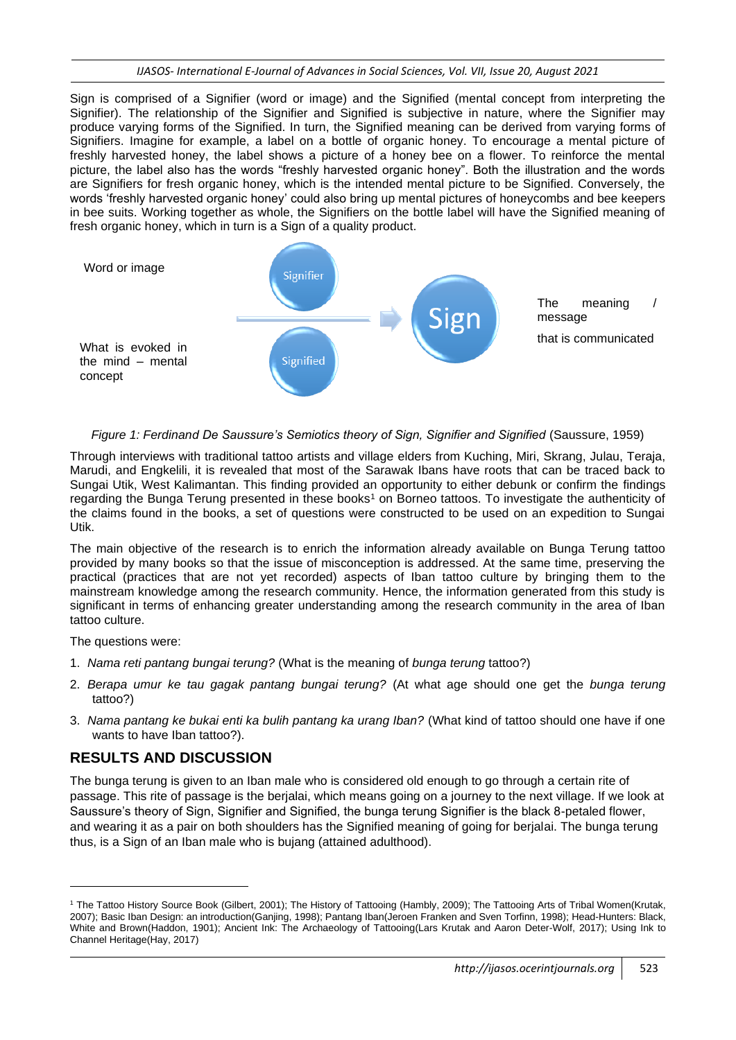Sign is comprised of a Signifier (word or image) and the Signified (mental concept from interpreting the Signifier). The relationship of the Signifier and Signified is subjective in nature, where the Signifier may produce varying forms of the Signified. In turn, the Signified meaning can be derived from varying forms of Signifiers. Imagine for example, a label on a bottle of organic honey. To encourage a mental picture of freshly harvested honey, the label shows a picture of a honey bee on a flower. To reinforce the mental picture, the label also has the words "freshly harvested organic honey". Both the illustration and the words are Signifiers for fresh organic honey, which is the intended mental picture to be Signified. Conversely, the words 'freshly harvested organic honey' could also bring up mental pictures of honeycombs and bee keepers in bee suits. Working together as whole, the Signifiers on the bottle label will have the Signified meaning of fresh organic honey, which in turn is a Sign of a quality product.



*Figure 1: Ferdinand De Saussure's Semiotics theory of Sign, Signifier and Signified (Saussure, 1959)* 

Through interviews with traditional tattoo artists and village elders from Kuching, Miri, Skrang, Julau, Teraja, Marudi, and Engkelili, it is revealed that most of the Sarawak Ibans have roots that can be traced back to Sungai Utik, West Kalimantan. This finding provided an opportunity to either debunk or confirm the findings regarding the Bunga Terung presented in these books<sup>1</sup> on Borneo tattoos. To investigate the authenticity of the claims found in the books, a set of questions were constructed to be used on an expedition to Sungai Utik.

The main objective of the research is to enrich the information already available on Bunga Terung tattoo provided by many books so that the issue of misconception is addressed. At the same time, preserving the practical (practices that are not yet recorded) aspects of Iban tattoo culture by bringing them to the mainstream knowledge among the research community. Hence, the information generated from this study is significant in terms of enhancing greater understanding among the research community in the area of Iban tattoo culture.

The questions were:

- 1. *Nama reti pantang bungai terung?* (What is the meaning of *bunga terung* tattoo?)
- 2. *Berapa umur ke tau gagak pantang bungai terung?* (At what age should one get the *bunga terung* tattoo?)
- 3. *Nama pantang ke bukai enti ka bulih pantang ka urang Iban?* (What kind of tattoo should one have if one wants to have Iban tattoo?).

## **RESULTS AND DISCUSSION**

The bunga terung is given to an Iban male who is considered old enough to go through a certain rite of passage. This rite of passage is the berjalai, which means going on a journey to the next village. If we look at Saussure's theory of Sign, Signifier and Signified, the bunga terung Signifier is the black 8-petaled flower, and wearing it as a pair on both shoulders has the Signified meaning of going for berjalai. The bunga terung thus, is a Sign of an Iban male who is bujang (attained adulthood).

<sup>1</sup> The Tattoo History Source Book (Gilbert, 2001); The History of Tattooing (Hambly, 2009); The Tattooing Arts of Tribal Women(Krutak, 2007); Basic Iban Design: an introduction(Ganjing, 1998); Pantang Iban(Jeroen Franken and Sven Torfinn, 1998); Head-Hunters: Black, White and Brown(Haddon, 1901); Ancient Ink: The Archaeology of Tattooing(Lars Krutak and Aaron Deter-Wolf, 2017); Using Ink to Channel Heritage(Hay, 2017)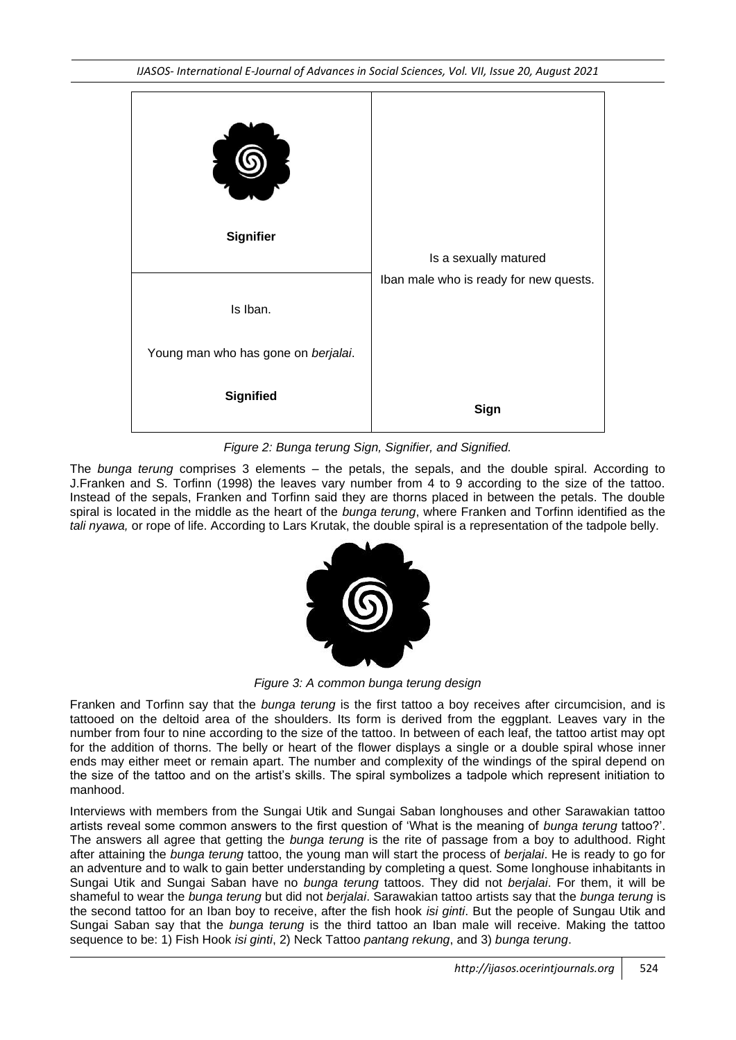*IJASOS- International E-Journal of Advances in Social Sciences, Vol. VII, Issue 20, August 2021*



*Figure 2: Bunga terung Sign, Signifier, and Signified.*

The *bunga terung* comprises 3 elements – the petals, the sepals, and the double spiral. According to J.Franken and S. Torfinn (1998) the leaves vary number from 4 to 9 according to the size of the tattoo. Instead of the sepals, Franken and Torfinn said they are thorns placed in between the petals. The double spiral is located in the middle as the heart of the *bunga terung*, where Franken and Torfinn identified as the *tali nyawa,* or rope of life. According to Lars Krutak, the double spiral is a representation of the tadpole belly.



*Figure 3: A common bunga terung design*

Franken and Torfinn say that the *bunga terung* is the first tattoo a boy receives after circumcision, and is tattooed on the deltoid area of the shoulders. Its form is derived from the eggplant. Leaves vary in the number from four to nine according to the size of the tattoo. In between of each leaf, the tattoo artist may opt for the addition of thorns. The belly or heart of the flower displays a single or a double spiral whose inner ends may either meet or remain apart. The number and complexity of the windings of the spiral depend on the size of the tattoo and on the artist's skills. The spiral symbolizes a tadpole which represent initiation to manhood.

Interviews with members from the Sungai Utik and Sungai Saban longhouses and other Sarawakian tattoo artists reveal some common answers to the first question of 'What is the meaning of *bunga terung* tattoo?'. The answers all agree that getting the *bunga terung* is the rite of passage from a boy to adulthood. Right after attaining the *bunga terung* tattoo, the young man will start the process of *berjalai*. He is ready to go for an adventure and to walk to gain better understanding by completing a quest. Some longhouse inhabitants in Sungai Utik and Sungai Saban have no *bunga terung* tattoos. They did not *berjalai*. For them, it will be shameful to wear the *bunga terung* but did not *berjalai*. Sarawakian tattoo artists say that the *bunga terung* is the second tattoo for an Iban boy to receive, after the fish hook *isi ginti*. But the people of Sungau Utik and Sungai Saban say that the *bunga terung* is the third tattoo an Iban male will receive. Making the tattoo sequence to be: 1) Fish Hook *isi ginti*, 2) Neck Tattoo *pantang rekung*, and 3) *bunga terung*.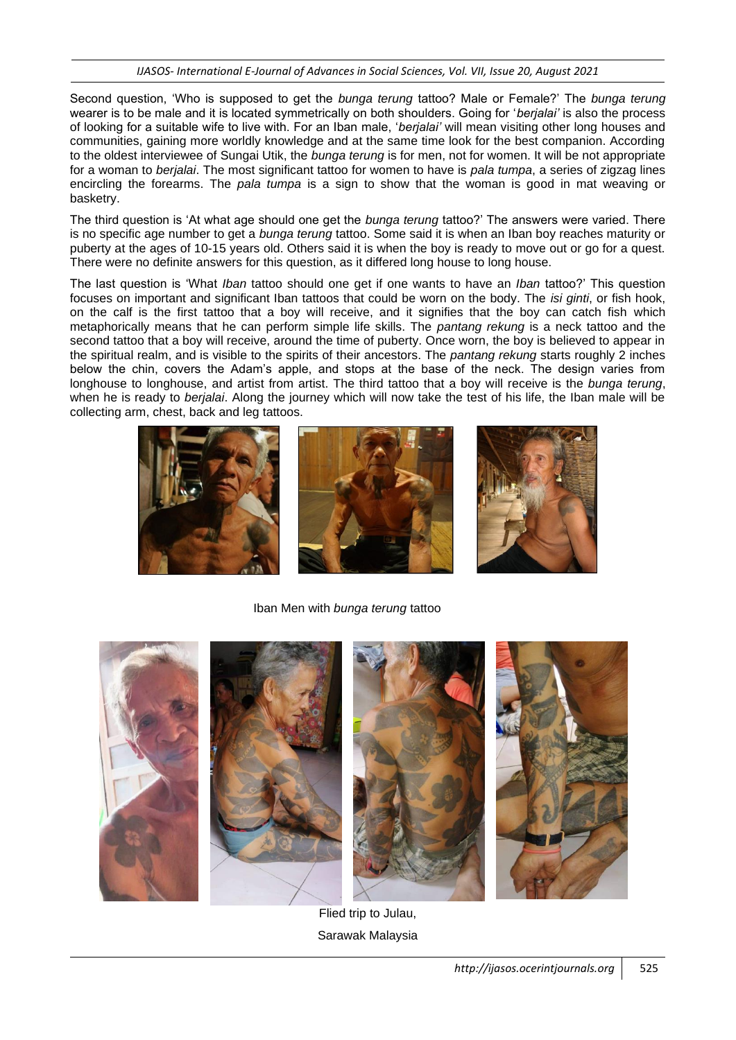Second question, 'Who is supposed to get the *bunga terung* tattoo? Male or Female?' The *bunga terung* wearer is to be male and it is located symmetrically on both shoulders. Going for '*berjalai'* is also the process of looking for a suitable wife to live with. For an Iban male, '*berjalai'* will mean visiting other long houses and communities, gaining more worldly knowledge and at the same time look for the best companion. According to the oldest interviewee of Sungai Utik, the *bunga terung* is for men, not for women. It will be not appropriate for a woman to *berjalai*. The most significant tattoo for women to have is *pala tumpa*, a series of zigzag lines encircling the forearms. The *pala tumpa* is a sign to show that the woman is good in mat weaving or basketry.

The third question is 'At what age should one get the *bunga terung* tattoo?' The answers were varied. There is no specific age number to get a *bunga terung* tattoo. Some said it is when an Iban boy reaches maturity or puberty at the ages of 10-15 years old. Others said it is when the boy is ready to move out or go for a quest. There were no definite answers for this question, as it differed long house to long house.

The last question is 'What *Iban* tattoo should one get if one wants to have an *Iban* tattoo?' This question focuses on important and significant Iban tattoos that could be worn on the body. The *isi ginti*, or fish hook, on the calf is the first tattoo that a boy will receive, and it signifies that the boy can catch fish which metaphorically means that he can perform simple life skills. The *pantang rekung* is a neck tattoo and the second tattoo that a boy will receive, around the time of puberty. Once worn, the boy is believed to appear in the spiritual realm, and is visible to the spirits of their ancestors. The *pantang rekung* starts roughly 2 inches below the chin, covers the Adam's apple, and stops at the base of the neck. The design varies from longhouse to longhouse, and artist from artist. The third tattoo that a boy will receive is the *bunga terung*, when he is ready to *berjalai*. Along the journey which will now take the test of his life, the Iban male will be collecting arm, chest, back and leg tattoos.



Iban Men with *bunga terung* tattoo



Flied trip to Julau, Sarawak Malaysia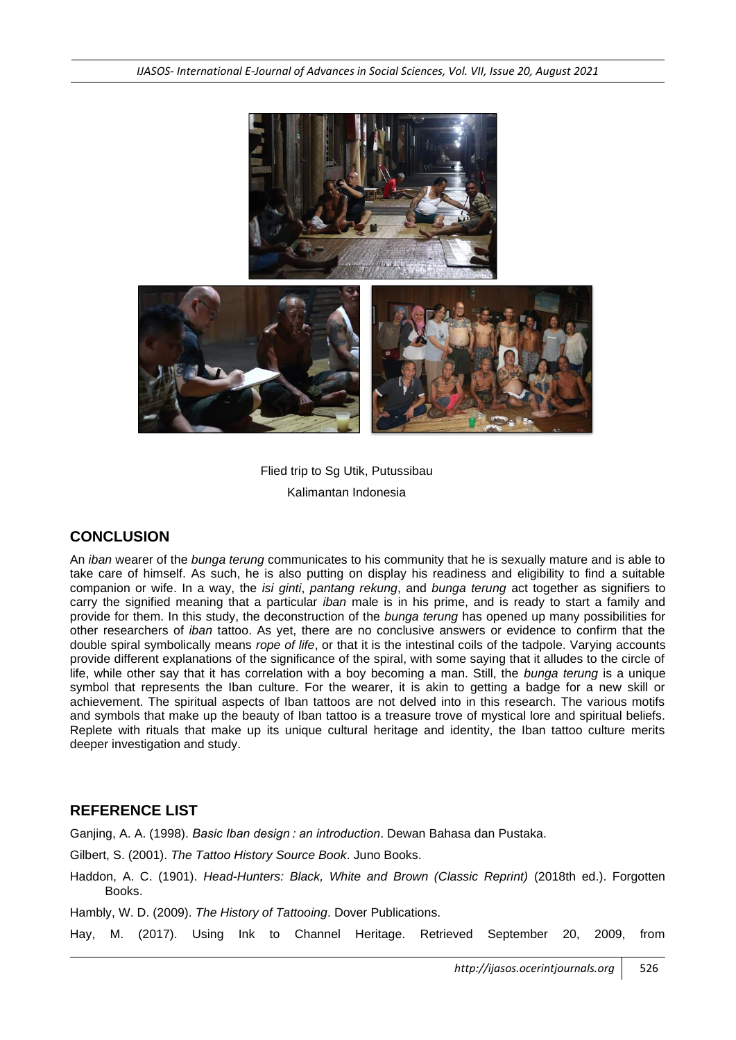*IJASOS- International E-Journal of Advances in Social Sciences, Vol. VII, Issue 20, August 2021*



Flied trip to Sg Utik, Putussibau Kalimantan Indonesia

## **CONCLUSION**

An *iban* wearer of the *bunga terung* communicates to his community that he is sexually mature and is able to take care of himself. As such, he is also putting on display his readiness and eligibility to find a suitable companion or wife. In a way, the *isi ginti*, *pantang rekung*, and *bunga terung* act together as signifiers to carry the signified meaning that a particular *iban* male is in his prime, and is ready to start a family and provide for them. In this study, the deconstruction of the *bunga terung* has opened up many possibilities for other researchers of *iban* tattoo. As yet, there are no conclusive answers or evidence to confirm that the double spiral symbolically means *rope of life*, or that it is the intestinal coils of the tadpole. Varying accounts provide different explanations of the significance of the spiral, with some saying that it alludes to the circle of life, while other say that it has correlation with a boy becoming a man. Still, the *bunga terung* is a unique symbol that represents the Iban culture. For the wearer, it is akin to getting a badge for a new skill or achievement. The spiritual aspects of Iban tattoos are not delved into in this research. The various motifs and symbols that make up the beauty of Iban tattoo is a treasure trove of mystical lore and spiritual beliefs. Replete with rituals that make up its unique cultural heritage and identity, the Iban tattoo culture merits deeper investigation and study.

### **REFERENCE LIST**

Ganjing, A. A. (1998). *Basic Iban design : an introduction*. Dewan Bahasa dan Pustaka.

Gilbert, S. (2001). *The Tattoo History Source Book*. Juno Books.

Haddon, A. C. (1901). *Head-Hunters: Black, White and Brown (Classic Reprint)* (2018th ed.). Forgotten Books.

Hambly, W. D. (2009). *The History of Tattooing*. Dover Publications.

Hay, M. (2017). Using Ink to Channel Heritage. Retrieved September 20, 2009, from